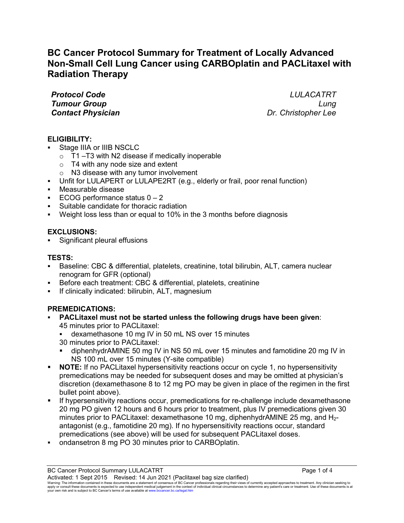# **BC Cancer Protocol Summary for Treatment of Locally Advanced Non-Small Cell Lung Cancer using CARBOplatin and PACLitaxel with Radiation Therapy**

*Protocol Code LULACATRT Tumour Group Lung Contact Physician* 

# **ELIGIBILITY:**

- Stage IIIA or IIIB NSCLC
	- $\circ$  T1 –T3 with N2 disease if medically inoperable
	- $\circ$  T4 with any node size and extent
	- o N3 disease with any tumor involvement
- Unfit for LULAPERT or LULAPE2RT (e.g., elderly or frail, poor renal function)
- Measurable disease
- $\textdegree$  ECOG performance status  $0 2$
- Suitable candidate for thoracic radiation
- Weight loss less than or equal to 10% in the 3 months before diagnosis

# **EXCLUSIONS:**

Significant pleural effusions

# **TESTS:**

- Baseline: CBC & differential, platelets, creatinine, total bilirubin, ALT, camera nuclear renogram for GFR (optional)
- Before each treatment: CBC & differential, platelets, creatinine
- If clinically indicated: bilirubin, ALT, magnesium

# **PREMEDICATIONS:**

- **PACLitaxel must not be started unless the following drugs have been given**: 45 minutes prior to PACLitaxel:
	- dexamethasone 10 mg IV in 50 mL NS over 15 minutes 30 minutes prior to PACLitaxel:
	- diphenhydrAMINE 50 mg IV in NS 50 mL over 15 minutes and famotidine 20 mg IV in NS 100 mL over 15 minutes (Y-site compatible)
- **NOTE:** If no PACLitaxel hypersensitivity reactions occur on cycle 1, no hypersensitivity premedications may be needed for subsequent doses and may be omitted at physician's discretion (dexamethasone 8 to 12 mg PO may be given in place of the regimen in the first bullet point above).
- If hypersensitivity reactions occur, premedications for re-challenge include dexamethasone 20 mg PO given 12 hours and 6 hours prior to treatment, plus IV premedications given 30 minutes prior to PACLitaxel: dexamethasone 10 mg, diphenhydrAMINE 25 mg, and  $H_{2}$ antagonist (e.g., famotidine 20 mg). If no hypersensitivity reactions occur, standard premedications (see above) will be used for subsequent PACLitaxel doses.
- ondansetron 8 mg PO 30 minutes prior to CARBOplatin.

BC Cancer Protocol Summary LULACATRT **Page 1 of 4** and 2008 and 2008 and 2008 and 2008 and 2008 and 2008 and 200

Activated: 1 Sept 2015 Revised: 14 Jun 2021 (Paclitaxel bag size clarified) Warning: The information contained in these documents are a statement of consensus of BC Cancer professionals regarding their views of currently accepted approaches to treatment. Any clinician seeking to<br>apply or consult t your own risk and is subject to BC Cancer's terms of use available a[t www.bccancer.bc.ca/legal.htm](file://srvnetapp02/Legal.htm)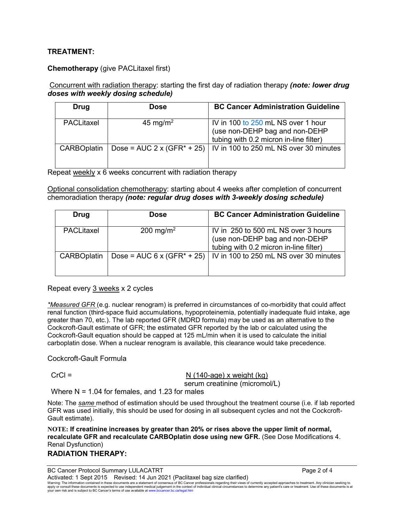# **TREATMENT:**

#### **Chemotherapy** (give PACLitaxel first)

#### Concurrent with radiation therapy: starting the first day of radiation therapy *(note: lower drug doses with weekly dosing schedule)*

| Drug               | Dose                 | <b>BC Cancer Administration Guideline</b>                                                                      |
|--------------------|----------------------|----------------------------------------------------------------------------------------------------------------|
| PACLitaxel         | 45 mg/m <sup>2</sup> | IV in 100 to 250 mL NS over 1 hour<br>(use non-DEHP bag and non-DEHP<br>tubing with 0.2 micron in-line filter) |
| <b>CARBOplatin</b> |                      | Dose = AUC 2 x (GFR <sup>*</sup> + 25)   IV in 100 to 250 mL NS over 30 minutes                                |

Repeat weekly x 6 weeks concurrent with radiation therapy

Optional consolidation chemotherapy: starting about 4 weeks after completion of concurrent chemoradiation therapy *(note: regular drug doses with 3-weekly dosing schedule)*

| <b>Drug</b>        | <b>Dose</b>           | <b>BC Cancer Administration Guideline</b>                                                                       |
|--------------------|-----------------------|-----------------------------------------------------------------------------------------------------------------|
| PACLitaxel         | 200 mg/m <sup>2</sup> | IV in 250 to 500 mL NS over 3 hours<br>(use non-DEHP bag and non-DEHP<br>tubing with 0.2 micron in-line filter) |
| <b>CARBOplatin</b> |                       | Dose = AUC $6 \times (GFR^* + 25)$   IV in 100 to 250 mL NS over 30 minutes                                     |

Repeat every 3 weeks x 2 cycles

*\*Measured GFR* (e.g. nuclear renogram) is preferred in circumstances of co-morbidity that could affect renal function (third-space fluid accumulations, hypoproteinemia, potentially inadequate fluid intake, age greater than 70, etc.). The lab reported GFR (MDRD formula) may be used as an alternative to the Cockcroft-Gault estimate of GFR; the estimated GFR reported by the lab or calculated using the Cockcroft-Gault equation should be capped at 125 mL/min when it is used to calculate the initial carboplatin dose. When a nuclear renogram is available, this clearance would take precedence.

Cockcroft-Gault Formula

## $CrCl = N (140 \text{-} 4) \times N (140 \text{-} 4) \times N (140 \text{-} 4) \times N (140 \text{-} 4) \times N (140 \text{-} 4) \times N (140 \text{-} 4) \times N (140 \text{-} 4) \times N (140 \text{-} 4) \times N (140 \text{-} 4) \times N (140 \text{-} 4) \times N (140 \text{-} 4) \times N (140 \text{-} 4) \times N (140 \text{-} 4) \times N (140 \text{-} 4) \times N (140 \text{-} 4) \times N (140 \$ serum creatinine (micromol/L)

Where  $N = 1.04$  for females, and 1.23 for males

Note: The *same* method of estimation should be used throughout the treatment course (i.e. if lab reported GFR was used initially, this should be used for dosing in all subsequent cycles and not the Cockcroft-Gault estimate).

**NOTE: If creatinine increases by greater than 20% or rises above the upper limit of normal, recalculate GFR and recalculate CARBOplatin dose using new GFR.** (See Dose Modifications 4. Renal Dysfunction)

# **RADIATION THERAPY:**

BC Cancer Protocol Summary LULACATRT **Page 2 of 4** and 2 of 4

Activated: 1 Sept 2015 Revised: 14 Jun 2021 (Paclitaxel bag size clarified)

Warning: The information contained in these documents are a statement of consensus of BC Cancer professionals regarding their views of currently accepted approaches to treatment. Any clinician seeking to<br>apply or consult t your own risk and is subject to BC Cancer's terms of use available a[t www.bccancer.bc.ca/legal.htm](file://srvnetapp02/Legal.htm)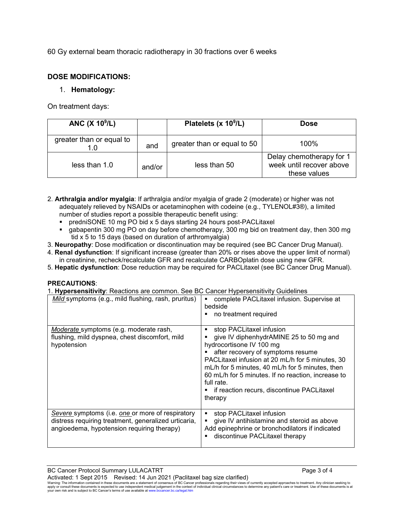60 Gy external beam thoracic radiotherapy in 30 fractions over 6 weeks

### **DOSE MODIFICATIONS:**

## 1. **Hematology:**

On treatment days:

| ANC $(X 109/L)$          |        | Platelets (x 10 <sup>9</sup> /L) | <b>Dose</b>                                                          |
|--------------------------|--------|----------------------------------|----------------------------------------------------------------------|
| greater than or equal to | and    | greater than or equal to 50      | $100\%$                                                              |
| less than 1.0            | and/or | less than 50                     | Delay chemotherapy for 1<br>week until recover above<br>these values |

- 2. **Arthralgia and/or myalgia**: If arthralgia and/or myalgia of grade 2 (moderate) or higher was not adequately relieved by NSAIDs or acetaminophen with codeine (e.g., TYLENOL#3®), a limited number of studies report a possible therapeutic benefit using:
	- predniSONE 10 mg PO bid x 5 days starting 24 hours post-PACLitaxel
	- gabapentin 300 mg PO on day before chemotherapy, 300 mg bid on treatment day, then 300 mg tid x 5 to 15 days (based on duration of arthromyalgia)
- 3. **Neuropathy**: Dose modification or discontinuation may be required (see BC Cancer Drug Manual).
- 4. **Renal dysfunction**: If significant increase (greater than 20% or rises above the upper limit of normal) in creatinine, recheck/recalculate GFR and recalculate CARBOplatin dose using new GFR.
- 5. **Hepatic dysfunction**: Dose reduction may be required for PACLitaxel (see BC Cancer Drug Manual).

#### **PRECAUTIONS**:

1. **Hypersensitivity**: Reactions are common. See BC Cancer Hypersensitivity Guidelines

| Mild symptoms (e.g., mild flushing, rash, pruritus)                                                                                                    | complete PACLitaxel infusion. Supervise at<br>п<br>bedside<br>no treatment required                                                                                                                                                                                                                                                                                           |
|--------------------------------------------------------------------------------------------------------------------------------------------------------|-------------------------------------------------------------------------------------------------------------------------------------------------------------------------------------------------------------------------------------------------------------------------------------------------------------------------------------------------------------------------------|
| Moderate symptoms (e.g. moderate rash,<br>flushing, mild dyspnea, chest discomfort, mild<br>hypotension                                                | stop PACLitaxel infusion<br>٠<br>give IV diphenhydrAMINE 25 to 50 mg and<br>hydrocortisone IV 100 mg<br>after recovery of symptoms resume<br>PACLitaxel infusion at 20 mL/h for 5 minutes, 30<br>mL/h for 5 minutes, 40 mL/h for 5 minutes, then<br>60 mL/h for 5 minutes. If no reaction, increase to<br>full rate.<br>if reaction recurs, discontinue PACLitaxel<br>therapy |
| Severe symptoms (i.e. one or more of respiratory<br>distress requiring treatment, generalized urticaria,<br>angioedema, hypotension requiring therapy) | stop PACLitaxel infusion<br>٠<br>give IV antihistamine and steroid as above<br>$\blacksquare$<br>Add epinephrine or bronchodilators if indicated<br>discontinue PACLitaxel therapy                                                                                                                                                                                            |

Activated: 1 Sept 2015 Revised: 14 Jun 2021 (Paclitaxel bag size clarified)<br>Waming: The information contained in these documents are a statement of consensus of BC Cancer professionals regarding their views of currently your own risk and is subject to BC Cancer's terms of use available a[t www.bccancer.bc.ca/legal.htm](file://srvnetapp02/Legal.htm)